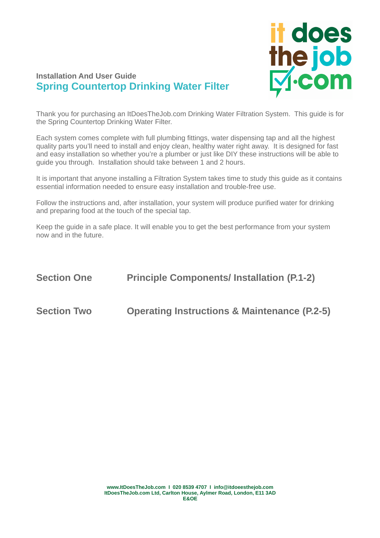

# **Installation And User Guide Spring Countertop Drinking Water Filter**

Thank you for purchasing an ItDoesTheJob.com Drinking Water Filtration System. This guide is for the Spring Countertop Drinking Water Filter.

Each system comes complete with full plumbing fittings, water dispensing tap and all the highest quality parts you'll need to install and enjoy clean, healthy water right away. It is designed for fast and easy installation so whether you're a plumber or just like DIY these instructions will be able to guide you through. Installation should take between 1 and 2 hours.

It is important that anyone installing a Filtration System takes time to study this guide as it contains essential information needed to ensure easy installation and trouble-free use.

Follow the instructions and, after installation, your system will produce purified water for drinking and preparing food at the touch of the special tap.

Keep the guide in a safe place. It will enable you to get the best performance from your system now and in the future.

# **Section One Principle Components/ Installation (P.1-2) Section Two Operating Instructions & Maintenance (P.2-5)**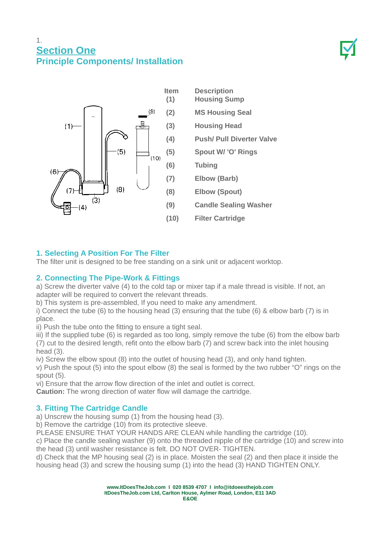# 1. **Section One Principle Components/ Installation**



# **1. Selecting A Position For The Filter**

The filter unit is designed to be free standing on a sink unit or adjacent worktop.

# **2. Connecting The Pipe-Work & Fittings**

a) Screw the diverter valve (4) to the cold tap or mixer tap if a male thread is visible. If not, an adapter will be required to convert the relevant threads.

b) This system is pre-assembled, If you need to make any amendment.

i) Connect the tube (6) to the housing head (3) ensuring that the tube (6) & elbow barb (7) is in place.

ii) Push the tube onto the fitting to ensure a tight seal.

iii) If the supplied tube (6) is regarded as too long, simply remove the tube (6) from the elbow barb (7) cut to the desired length, refit onto the elbow barb (7) and screw back into the inlet housing head (3).

iv) Screw the elbow spout (8) into the outlet of housing head (3), and only hand tighten.

v) Push the spout (5) into the spout elbow (8) the seal is formed by the two rubber "O" rings on the spout (5).

vi) Ensure that the arrow flow direction of the inlet and outlet is correct.

**Caution:** The wrong direction of water flow will damage the cartridge.

# **3. Fitting The Cartridge Candle**

a) Unscrew the housing sump (1) from the housing head (3).

b) Remove the cartridge (10) from its protective sleeve.

PLEASE ENSURE THAT YOUR HANDS ARE CLEAN while handling the cartridge (10).

c) Place the candle sealing washer (9) onto the threaded nipple of the cartridge (10) and screw into the head (3) until washer resistance is felt. DO NOT OVER- TIGHTEN.

d) Check that the MP housing seal (2) is in place. Moisten the seal (2) and then place it inside the housing head (3) and screw the housing sump (1) into the head (3) HAND TIGHTEN ONLY.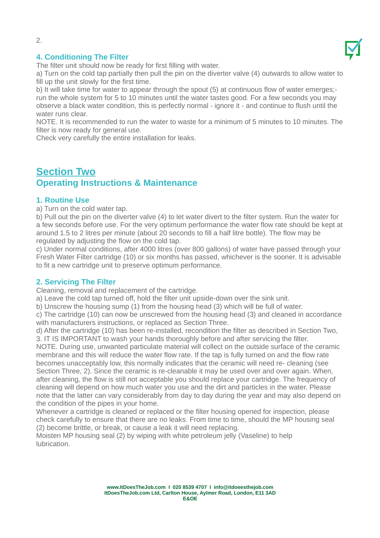

## **4. Conditioning The Filter**

The filter unit should now be ready for first filling with water.

a) Turn on the cold tap partially then pull the pin on the diverter valve (4) outwards to allow water to fill up the unit slowly for the first time.

b) It will take time for water to appear through the spout (5) at continuous flow of water emerges; run the whole system for 5 to 10 minutes until the water tastes good. For a few seconds you may observe a black water condition, this is perfectly normal - ignore it - and continue to flush until the water runs clear.

NOTE. It is recommended to run the water to waste for a minimum of 5 minutes to 10 minutes. The filter is now ready for general use.

Check very carefully the entire installation for leaks.

# **Section Two Operating Instructions & Maintenance**

#### **1. Routine Use**

a) Turn on the cold water tap.

b) Pull out the pin on the diverter valve (4) to let water divert to the filter system. Run the water for a few seconds before use. For the very optimum performance the water flow rate should be kept at around 1.5 to 2 litres per minute (about 20 seconds to fill a half litre bottle). The flow may be regulated by adjusting the flow on the cold tap.

c) Under normal conditions, after 4000 litres (over 800 gallons) of water have passed through your Fresh Water Filter cartridge (10) or six months has passed, whichever is the sooner. It is advisable to fit a new cartridge unit to preserve optimum performance.

#### **2. Servicing The Filter**

Cleaning, removal and replacement of the cartridge.

a) Leave the cold tap turned off, hold the filter unit upside-down over the sink unit.

b) Unscrew the housing sump (1) from the housing head (3) which will be full of water.

c) The cartridge (10) can now be unscrewed from the housing head (3) and cleaned in accordance with manufacturers instructions, or replaced as Section Three.

d) After the cartridge (10) has been re-installed, recondition the filter as described in Section Two, 3. IT IS IMPORTANT to wash your hands thoroughly before and after servicing the filter.

NOTE. During use, unwanted particulate material will collect on the outside surface of the ceramic membrane and this will reduce the water flow rate. If the tap is fully turned on and the flow rate becomes unacceptably low, this normally indicates that the ceramic will need re- cleaning (see Section Three, 2). Since the ceramic is re-cleanable it may be used over and over again. When, after cleaning, the flow is still not acceptable you should replace your cartridge. The frequency of cleaning will depend on how much water you use and the dirt and particles in the water. Please note that the latter can vary considerably from day to day during the year and may also depend on the condition of the pipes in your home.

Whenever a cartridge is cleaned or replaced or the filter housing opened for inspection, please check carefully to ensure that there are no leaks. From time to time, should the MP housing seal (2) become brittle, or break, or cause a leak it will need replacing.

Moisten MP housing seal (2) by wiping with white petroleum jelly (Vaseline) to help lubrication.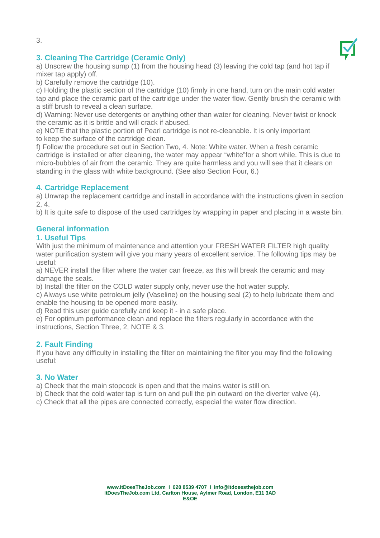



# **3. Cleaning The Cartridge (Ceramic Only)**

a) Unscrew the housing sump (1) from the housing head (3) leaving the cold tap (and hot tap if mixer tap apply) off.

b) Carefully remove the cartridge (10).

c) Holding the plastic section of the cartridge (10) firmly in one hand, turn on the main cold water tap and place the ceramic part of the cartridge under the water flow. Gently brush the ceramic with a stiff brush to reveal a clean surface.

d) Warning: Never use detergents or anything other than water for cleaning. Never twist or knock the ceramic as it is brittle and will crack if abused.

e) NOTE that the plastic portion of Pearl cartridge is not re-cleanable. It is only important to keep the surface of the cartridge clean.

f) Follow the procedure set out in Section Two, 4. Note: White water. When a fresh ceramic cartridge is installed or after cleaning, the water may appear "white"for a short while. This is due to micro-bubbles of air from the ceramic. They are quite harmless and you will see that it clears on standing in the glass with white background. (See also Section Four, 6.)

## **4. Cartridge Replacement**

a) Unwrap the replacement cartridge and install in accordance with the instructions given in section 2, 4.

b) It is quite safe to dispose of the used cartridges by wrapping in paper and placing in a waste bin.

# **General information**

## **1. Useful Tips**

With just the minimum of maintenance and attention your FRESH WATER FILTER high quality water purification system will give you many years of excellent service. The following tips may be useful:

a) NEVER install the filter where the water can freeze, as this will break the ceramic and may damage the seals.

b) Install the filter on the COLD water supply only, never use the hot water supply.

c) Always use white petroleum jelly (Vaseline) on the housing seal (2) to help lubricate them and enable the housing to be opened more easily.

d) Read this user guide carefully and keep it - in a safe place.

e) For optimum performance clean and replace the filters regularly in accordance with the instructions, Section Three, 2, NOTE & 3.

## **2. Fault Finding**

If you have any difficulty in installing the filter on maintaining the filter you may find the following useful:

## **3. No Water**

a) Check that the main stopcock is open and that the mains water is still on.

b) Check that the cold water tap is turn on and pull the pin outward on the diverter valve (4).

c) Check that all the pipes are connected correctly, especial the water flow direction.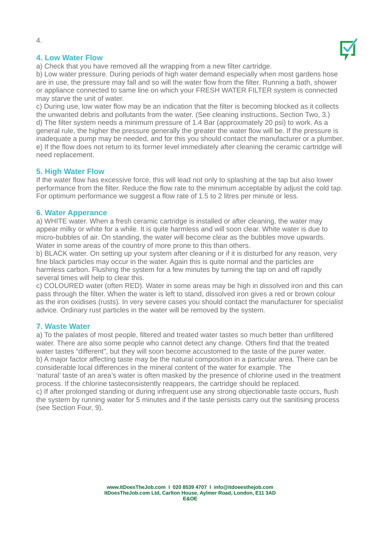

#### **4. Low Water Flow**

a) Check that you have removed all the wrapping from a new filter cartridge.

b) Low water pressure. During periods of high water demand especially when most gardens hose are in use, the pressure may fall and so will the water flow from the filter. Running a bath, shower or appliance connected to same line on which your FRESH WATER FILTER system is connected may starve the unit of water.

c) During use, low water flow may be an indication that the filter is becoming blocked as it collects the unwanted debris and pollutants from the water. (See cleaning instructions, Section Two, 3.) d) The filter system needs a minimum pressure of 1.4 Bar (approximately 20 psi) to work. As a general rule, the higher the pressure generally the greater the water flow will be. If the pressure is inadequate a pump may be needed, and for this you should contact the manufacturer or a plumber. e) If the flow does not return to its former level immediately after cleaning the ceramic cartridge will need replacement.

#### **5. High Water Flow**

If the water flow has excessive force, this will lead not only to splashing at the tap but also lower performance from the filter. Reduce the flow rate to the minimum acceptable by adjust the cold tap. For optimum performance we suggest a flow rate of 1.5 to 2 litres per minute or less.

#### **6. Water Apperance**

a) WHITE water. When a fresh ceramic cartridge is installed or after cleaning, the water may appear milky or white for a while. It is quite harmless and will soon clear. White water is due to micro-bubbles of air. On standing, the water will become clear as the bubbles move upwards. Water in some areas of the country of more prone to this than others.

b) BLACK water. On setting up your system after cleaning or if it is disturbed for any reason, very fine black particles may occur in the water. Again this is quite normal and the particles are harmless carbon. Flushing the system for a few minutes by turning the tap on and off rapidly several times will help to clear this.

c) COLOURED water (often RED). Water in some areas may be high in dissolved iron and this can pass through the filter. When the water is left to stand, dissolved iron gives a red or brown colour as the iron oxidises (rusts). In very severe cases you should contact the manufacturer for specialist advice. Ordinary rust particles in the water will be removed by the system.

#### **7. Waste Water**

a) To the palates of most people, filtered and treated water tastes so much better than unfiltered water. There are also some people who cannot detect any change. Others find that the treated water tastes "different", but they will soon become accustomed to the taste of the purer water. b) A major factor affecting taste may be the natural composition in a particular area. There can be considerable local differences in the mineral content of the water for example. The

'natural' taste of an area's water is often masked by the presence of chlorine used in the treatment process. If the chlorine tasteconsistently reappears, the cartridge should be replaced.

c) If after prolonged standing or during infrequent use any strong objectionable taste occurs, flush the system by running water for 5 minutes and if the taste persists carry out the sanitising process (see Section Four, 9).